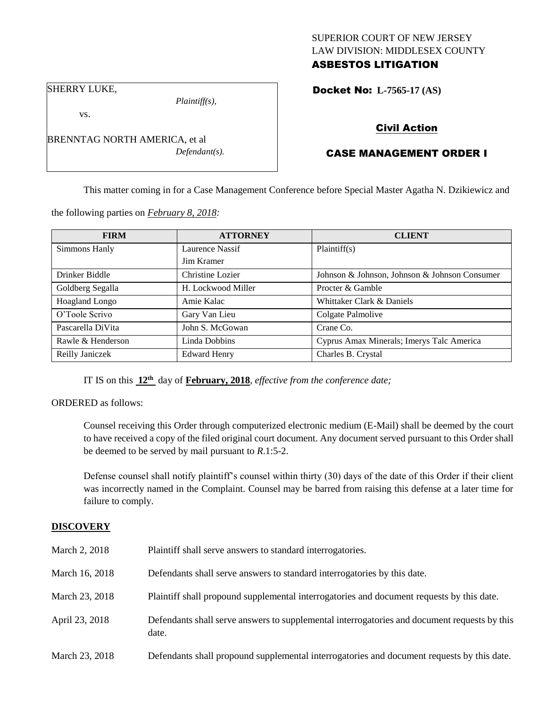## SUPERIOR COURT OF NEW JERSEY LAW DIVISION: MIDDLESEX COUNTY ASBESTOS LITIGATION

Docket No: **L-7565-17 (AS)** 

SHERRY LUKE,

vs.

*Plaintiff(s),*

*Defendant(s).*

Civil Action

# CASE MANAGEMENT ORDER I

This matter coming in for a Case Management Conference before Special Master Agatha N. Dzikiewicz and

the following parties on *February 8, 2018:*

BRENNTAG NORTH AMERICA, et al

| <b>FIRM</b>           | <b>ATTORNEY</b>     | <b>CLIENT</b>                                 |
|-----------------------|---------------------|-----------------------------------------------|
| Simmons Hanly         | Laurence Nassif     | Plaintiff(s)                                  |
|                       | Jim Kramer          |                                               |
| Drinker Biddle        | Christine Lozier    | Johnson & Johnson, Johnson & Johnson Consumer |
| Goldberg Segalla      | H. Lockwood Miller  | Procter & Gamble                              |
| <b>Hoagland Longo</b> | Amie Kalac          | Whittaker Clark & Daniels                     |
| O'Toole Scrivo        | Gary Van Lieu       | Colgate Palmolive                             |
| Pascarella DiVita     | John S. McGowan     | Crane Co.                                     |
| Rawle & Henderson     | Linda Dobbins       | Cyprus Amax Minerals; Imerys Talc America     |
| Reilly Janiczek       | <b>Edward Henry</b> | Charles B. Crystal                            |

IT IS on this **12th** day of **February, 2018**, *effective from the conference date;*

ORDERED as follows:

Counsel receiving this Order through computerized electronic medium (E-Mail) shall be deemed by the court to have received a copy of the filed original court document. Any document served pursuant to this Order shall be deemed to be served by mail pursuant to *R*.1:5-2.

Defense counsel shall notify plaintiff's counsel within thirty (30) days of the date of this Order if their client was incorrectly named in the Complaint. Counsel may be barred from raising this defense at a later time for failure to comply.

## **DISCOVERY**

| March 2, 2018  | Plaintiff shall serve answers to standard interrogatories.                                            |
|----------------|-------------------------------------------------------------------------------------------------------|
| March 16, 2018 | Defendants shall serve answers to standard interrogatories by this date.                              |
| March 23, 2018 | Plaintiff shall propound supplemental interrogatories and document requests by this date.             |
| April 23, 2018 | Defendants shall serve answers to supplemental interrogatories and document requests by this<br>date. |
| March 23, 2018 | Defendants shall propound supplemental interrogatories and document requests by this date.            |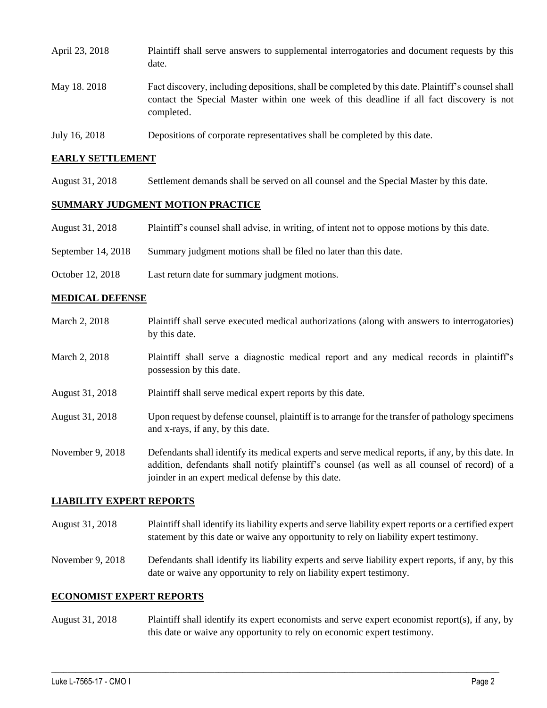| April 23, 2018 | Plaintiff shall serve answers to supplemental interrogatories and document requests by this<br>date.                                                                                                        |
|----------------|-------------------------------------------------------------------------------------------------------------------------------------------------------------------------------------------------------------|
| May 18. 2018   | Fact discovery, including depositions, shall be completed by this date. Plaintiff's counsel shall<br>contact the Special Master within one week of this deadline if all fact discovery is not<br>completed. |
| July 16, 2018  | Depositions of corporate representatives shall be completed by this date.                                                                                                                                   |

### **EARLY SETTLEMENT**

August 31, 2018 Settlement demands shall be served on all counsel and the Special Master by this date.

## **SUMMARY JUDGMENT MOTION PRACTICE**

- August 31, 2018 Plaintiff's counsel shall advise, in writing, of intent not to oppose motions by this date.
- September 14, 2018 Summary judgment motions shall be filed no later than this date.
- October 12, 2018 Last return date for summary judgment motions.

### **MEDICAL DEFENSE**

March 2, 2018 Plaintiff shall serve executed medical authorizations (along with answers to interrogatories) by this date. March 2, 2018 Plaintiff shall serve a diagnostic medical report and any medical records in plaintiff's possession by this date. August 31, 2018 Plaintiff shall serve medical expert reports by this date. August 31, 2018 Upon request by defense counsel, plaintiff is to arrange for the transfer of pathology specimens and x-rays, if any, by this date. November 9, 2018 Defendants shall identify its medical experts and serve medical reports, if any, by this date. In addition, defendants shall notify plaintiff's counsel (as well as all counsel of record) of a joinder in an expert medical defense by this date.

### **LIABILITY EXPERT REPORTS**

- August 31, 2018 Plaintiff shall identify its liability experts and serve liability expert reports or a certified expert statement by this date or waive any opportunity to rely on liability expert testimony.
- November 9, 2018 Defendants shall identify its liability experts and serve liability expert reports, if any, by this date or waive any opportunity to rely on liability expert testimony.

#### **ECONOMIST EXPERT REPORTS**

August 31, 2018 Plaintiff shall identify its expert economists and serve expert economist report(s), if any, by this date or waive any opportunity to rely on economic expert testimony.

 $\_$  ,  $\_$  ,  $\_$  ,  $\_$  ,  $\_$  ,  $\_$  ,  $\_$  ,  $\_$  ,  $\_$  ,  $\_$  ,  $\_$  ,  $\_$  ,  $\_$  ,  $\_$  ,  $\_$  ,  $\_$  ,  $\_$  ,  $\_$  ,  $\_$  ,  $\_$  ,  $\_$  ,  $\_$  ,  $\_$  ,  $\_$  ,  $\_$  ,  $\_$  ,  $\_$  ,  $\_$  ,  $\_$  ,  $\_$  ,  $\_$  ,  $\_$  ,  $\_$  ,  $\_$  ,  $\_$  ,  $\_$  ,  $\_$  ,